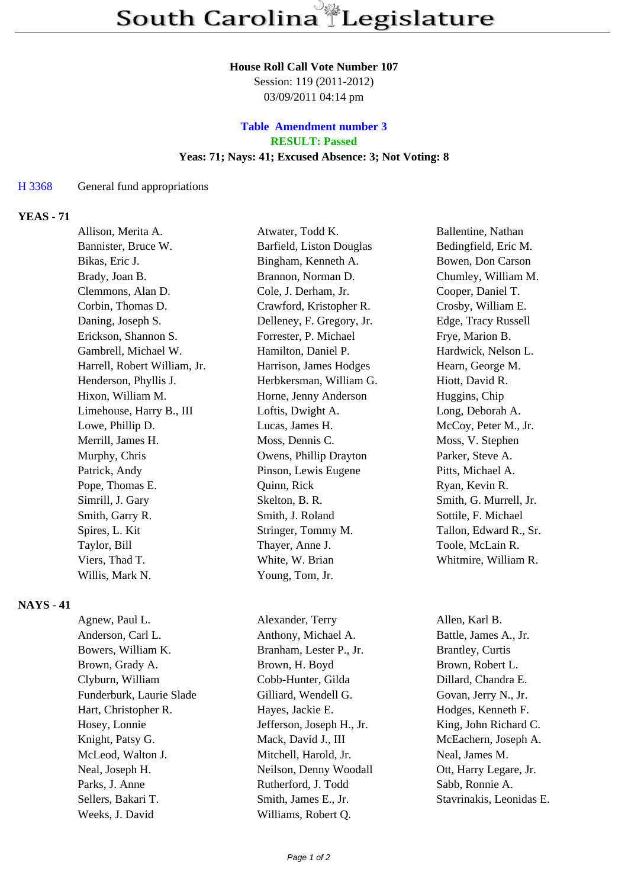#### **House Roll Call Vote Number 107**

Session: 119 (2011-2012) 03/09/2011 04:14 pm

## **Table Amendment number 3 RESULT: Passed Yeas: 71; Nays: 41; Excused Absence: 3; Not Voting: 8**

#### H 3368 General fund appropriations

### **YEAS - 71**

| Allison, Merita A.           | Atwater, Todd K.          | Ballentine, Nathan     |
|------------------------------|---------------------------|------------------------|
| Bannister, Bruce W.          | Barfield, Liston Douglas  | Bedingfield, Eric M.   |
| Bikas, Eric J.               | Bingham, Kenneth A.       | Bowen, Don Carson      |
| Brady, Joan B.               | Brannon, Norman D.        | Chumley, William M.    |
| Clemmons, Alan D.            | Cole, J. Derham, Jr.      | Cooper, Daniel T.      |
| Corbin, Thomas D.            | Crawford, Kristopher R.   | Crosby, William E.     |
| Daning, Joseph S.            | Delleney, F. Gregory, Jr. | Edge, Tracy Russell    |
| Erickson, Shannon S.         | Forrester, P. Michael     | Frye, Marion B.        |
| Gambrell, Michael W.         | Hamilton, Daniel P.       | Hardwick, Nelson L.    |
| Harrell, Robert William, Jr. | Harrison, James Hodges    | Hearn, George M.       |
| Henderson, Phyllis J.        | Herbkersman, William G.   | Hiott, David R.        |
| Hixon, William M.            | Horne, Jenny Anderson     | Huggins, Chip          |
| Limehouse, Harry B., III     | Loftis, Dwight A.         | Long, Deborah A.       |
| Lowe, Phillip D.             | Lucas, James H.           | McCoy, Peter M., Jr.   |
| Merrill, James H.            | Moss, Dennis C.           | Moss, V. Stephen       |
| Murphy, Chris                | Owens, Phillip Drayton    | Parker, Steve A.       |
| Patrick, Andy                | Pinson, Lewis Eugene      | Pitts, Michael A.      |
| Pope, Thomas E.              | Quinn, Rick               | Ryan, Kevin R.         |
| Simrill, J. Gary             | Skelton, B. R.            | Smith, G. Murrell, Jr. |
| Smith, Garry R.              | Smith, J. Roland          | Sottile, F. Michael    |
| Spires, L. Kit               | Stringer, Tommy M.        | Tallon, Edward R., Sr. |
| Taylor, Bill                 | Thayer, Anne J.           | Toole, McLain R.       |
| Viers, Thad T.               | White, W. Brian           | Whitmire, William R.   |
| Willis, Mark N.              | Young, Tom, Jr.           |                        |

#### **NAYS - 41**

| Agnew, Paul L.           | Alexander, Terry          | Allen, Karl B.           |
|--------------------------|---------------------------|--------------------------|
| Anderson, Carl L.        | Anthony, Michael A.       | Battle, James A., Jr.    |
| Bowers, William K.       | Branham, Lester P., Jr.   | <b>Brantley</b> , Curtis |
| Brown, Grady A.          | Brown, H. Boyd            | Brown, Robert L.         |
| Clyburn, William         | Cobb-Hunter, Gilda        | Dillard, Chandra E.      |
| Funderburk, Laurie Slade | Gilliard, Wendell G.      | Govan, Jerry N., Jr.     |
| Hart, Christopher R.     | Hayes, Jackie E.          | Hodges, Kenneth F.       |
| Hosey, Lonnie            | Jefferson, Joseph H., Jr. | King, John Richard C.    |
| Knight, Patsy G.         | Mack, David J., III       | McEachern, Joseph A      |
| McLeod, Walton J.        | Mitchell, Harold, Jr.     | Neal, James M.           |
| Neal, Joseph H.          | Neilson, Denny Woodall    | Ott, Harry Legare, Jr.   |
| Parks, J. Anne           | Rutherford, J. Todd       | Sabb, Ronnie A.          |
| Sellers, Bakari T.       | Smith, James E., Jr.      | Stavrinakis, Leonidas    |
| Weeks, J. David          | Williams, Robert Q.       |                          |

rry Allen, Karl B. hael A. Battle, James A., Jr. ter P., Jr. Brantley, Curtis yd Brown, Robert L. Gilda Dillard, Chandra E. Fundell G. Govan, Jerry N., Jr. E. **Hodges, Kenneth F.**  $\text{Eph H.}, \text{Jr.}$  King, John Richard C. I., III McEachern, Joseph A. Meal, James M.

Todd Sabb, Ronnie A. E., Jr. Stavrinakis, Leonidas E.